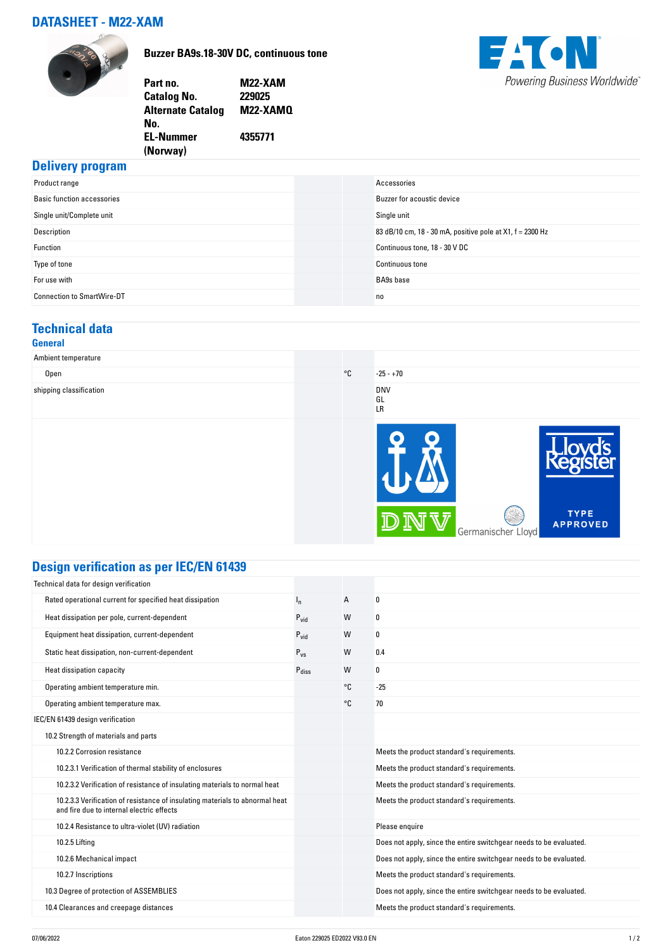### **DATASHEET - M22-XAM**



**Buzzer BA9s.18-30V DC, continuous tone**



| Part no.                 | <b>M22-XAM</b> |
|--------------------------|----------------|
| Catalog No.              | 229025         |
| <b>Alternate Catalog</b> | M22-XAMO       |
| No.                      |                |
| EL-Nummer                | 4355771        |
| (Norway)                 |                |
|                          |                |

## **Delivery program**

| Product range                     | Accessories                                               |
|-----------------------------------|-----------------------------------------------------------|
| <b>Basic function accessories</b> | Buzzer for acoustic device                                |
| Single unit/Complete unit         | Single unit                                               |
| Description                       | 83 dB/10 cm, 18 - 30 mA, positive pole at X1, f = 2300 Hz |
| Function                          | Continuous tone, 18 - 30 V DC                             |
| Type of tone                      | <b>Continuous tone</b>                                    |
| For use with                      | <b>BA9s</b> base                                          |
| <b>Connection to SmartWire-DT</b> | n <sub>0</sub>                                            |

## **Technical data**

#### **General**

| Ambient temperature     |              |                        |                    |                                |
|-------------------------|--------------|------------------------|--------------------|--------------------------------|
| Open                    | $^{\circ}$ C | $-25 - +70$            |                    |                                |
| shipping classification |              | <b>DNV</b><br>GL<br>LR |                    |                                |
|                         |              |                        |                    |                                |
|                         |              | ୰                      | Germanischer Lloyd | <b>TYPE</b><br><b>APPROVED</b> |

## **Design verification as per IEC/EN 61439**

| Technical data for design verification                                                                                    |                   |    |                                                                    |
|---------------------------------------------------------------------------------------------------------------------------|-------------------|----|--------------------------------------------------------------------|
| Rated operational current for specified heat dissipation                                                                  | $I_{n}$           | A  | 0                                                                  |
| Heat dissipation per pole, current-dependent                                                                              | $P_{\text{vid}}$  | W  | 0                                                                  |
| Equipment heat dissipation, current-dependent                                                                             | $P_{\text{vid}}$  | W  | 0                                                                  |
| Static heat dissipation, non-current-dependent                                                                            | $P_{VS}$          | W  | 0.4                                                                |
| Heat dissipation capacity                                                                                                 | $P_{\text{diss}}$ | W  | 0                                                                  |
| Operating ambient temperature min.                                                                                        |                   | °C | $-25$                                                              |
| Operating ambient temperature max.                                                                                        |                   | °€ | 70                                                                 |
| IEC/EN 61439 design verification                                                                                          |                   |    |                                                                    |
| 10.2 Strength of materials and parts                                                                                      |                   |    |                                                                    |
| 10.2.2 Corrosion resistance                                                                                               |                   |    | Meets the product standard's requirements.                         |
| 10.2.3.1 Verification of thermal stability of enclosures                                                                  |                   |    | Meets the product standard's requirements.                         |
| 10.2.3.2 Verification of resistance of insulating materials to normal heat                                                |                   |    | Meets the product standard's requirements.                         |
| 10.2.3.3 Verification of resistance of insulating materials to abnormal heat<br>and fire due to internal electric effects |                   |    | Meets the product standard's requirements.                         |
| 10.2.4 Resistance to ultra-violet (UV) radiation                                                                          |                   |    | Please enquire                                                     |
| 10.2.5 Lifting                                                                                                            |                   |    | Does not apply, since the entire switchgear needs to be evaluated. |
| 10.2.6 Mechanical impact                                                                                                  |                   |    | Does not apply, since the entire switchgear needs to be evaluated. |
| 10.2.7 Inscriptions                                                                                                       |                   |    | Meets the product standard's requirements.                         |
| 10.3 Degree of protection of ASSEMBLIES                                                                                   |                   |    | Does not apply, since the entire switchgear needs to be evaluated. |
| 10.4 Clearances and creepage distances                                                                                    |                   |    | Meets the product standard's requirements.                         |